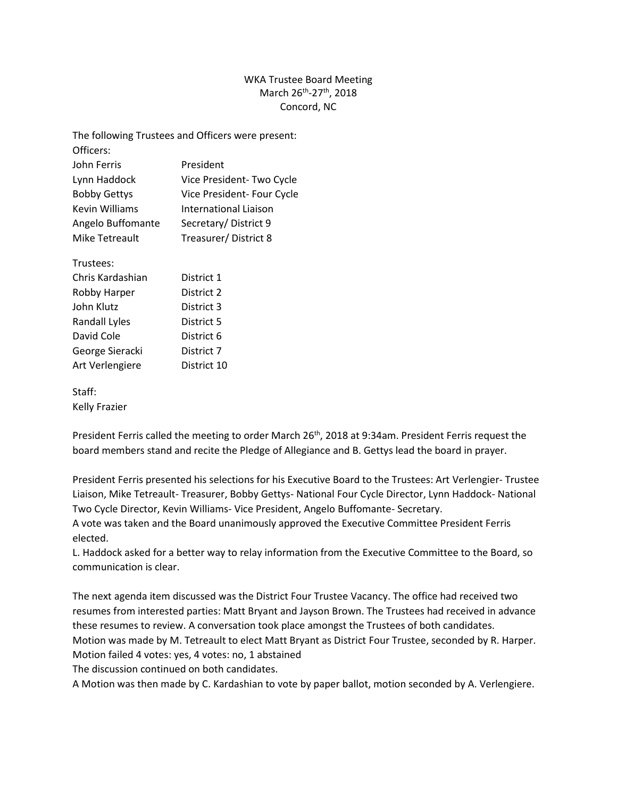## WKA Trustee Board Meeting March 26<sup>th</sup>-27<sup>th</sup>, 2018 Concord, NC

| The following Trustees and Officers were present: |                            |
|---------------------------------------------------|----------------------------|
| Officers:                                         |                            |
| John Ferris                                       | President                  |
| Lynn Haddock                                      | Vice President- Two Cycle  |
| <b>Bobby Gettys</b>                               | Vice President- Four Cycle |
| Kevin Williams                                    | International Liaison      |
| Angelo Buffomante                                 | Secretary/District 9       |
| Mike Tetreault                                    | Treasurer/District 8       |
| Trustees:                                         |                            |
| Chris Kardashian                                  | District 1                 |
| Robby Harper                                      | District 2                 |
| John Klutz                                        | District 3                 |
| <b>Randall Lyles</b>                              | District 5                 |
| David Cole                                        | District 6                 |
| George Sieracki                                   | District 7                 |
| Art Verlengiere                                   | District 10                |
| Staff:                                            |                            |

Kelly Frazier

President Ferris called the meeting to order March 26<sup>th</sup>, 2018 at 9:34am. President Ferris request the board members stand and recite the Pledge of Allegiance and B. Gettys lead the board in prayer.

President Ferris presented his selections for his Executive Board to the Trustees: Art Verlengier- Trustee Liaison, Mike Tetreault- Treasurer, Bobby Gettys- National Four Cycle Director, Lynn Haddock- National Two Cycle Director, Kevin Williams- Vice President, Angelo Buffomante- Secretary.

A vote was taken and the Board unanimously approved the Executive Committee President Ferris elected.

L. Haddock asked for a better way to relay information from the Executive Committee to the Board, so communication is clear.

The next agenda item discussed was the District Four Trustee Vacancy. The office had received two resumes from interested parties: Matt Bryant and Jayson Brown. The Trustees had received in advance these resumes to review. A conversation took place amongst the Trustees of both candidates. Motion was made by M. Tetreault to elect Matt Bryant as District Four Trustee, seconded by R. Harper. Motion failed 4 votes: yes, 4 votes: no, 1 abstained

The discussion continued on both candidates.

A Motion was then made by C. Kardashian to vote by paper ballot, motion seconded by A. Verlengiere.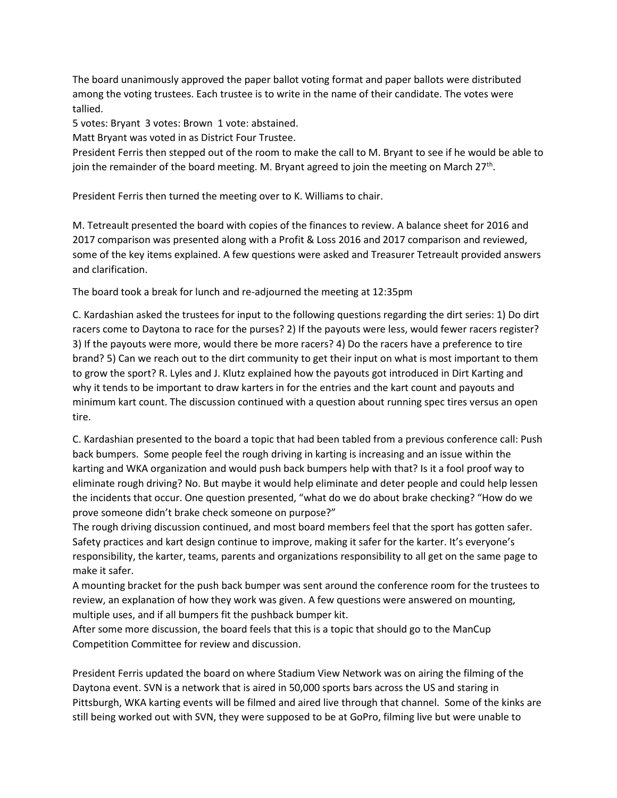The board unanimously approved the paper ballot voting format and paper ballots were distributed among the voting trustees. Each trustee is to write in the name of their candidate. The votes were tallied.

5 votes: Bryant 3 votes: Brown 1 vote: abstained.

Matt Bryant was voted in as District Four Trustee.

President Ferris then stepped out of the room to make the call to M. Bryant to see if he would be able to join the remainder of the board meeting. M. Bryant agreed to join the meeting on March 27<sup>th</sup>.

President Ferris then turned the meeting over to K. Williams to chair.

M. Tetreault presented the board with copies of the finances to review. A balance sheet for 2016 and 2017 comparison was presented along with a Profit & Loss 2016 and 2017 comparison and reviewed, some of the key items explained. A few questions were asked and Treasurer Tetreault provided answers and clarification.

The board took a break for lunch and re-adjourned the meeting at 12:35pm

C. Kardashian asked the trustees for input to the following questions regarding the dirt series: 1) Do dirt racers come to Daytona to race for the purses? 2) If the payouts were less, would fewer racers register? 3) If the payouts were more, would there be more racers? 4) Do the racers have a preference to tire brand? 5) Can we reach out to the dirt community to get their input on what is most important to them to grow the sport? R. Lyles and J. Klutz explained how the payouts got introduced in Dirt Karting and why it tends to be important to draw karters in for the entries and the kart count and payouts and minimum kart count. The discussion continued with a question about running spec tires versus an open tire.

C. Kardashian presented to the board a topic that had been tabled from a previous conference call: Push back bumpers. Some people feel the rough driving in karting is increasing and an issue within the karting and WKA organization and would push back bumpers help with that? Is it a fool proof way to eliminate rough driving? No. But maybe it would help eliminate and deter people and could help lessen the incidents that occur. One question presented, "what do we do about brake checking? "How do we prove someone didn't brake check someone on purpose?"

The rough driving discussion continued, and most board members feel that the sport has gotten safer. Safety practices and kart design continue to improve, making it safer for the karter. It's everyone's responsibility, the karter, teams, parents and organizations responsibility to all get on the same page to make it safer.

A mounting bracket for the push back bumper was sent around the conference room for the trustees to review, an explanation of how they work was given. A few questions were answered on mounting, multiple uses, and if all bumpers fit the pushback bumper kit.

After some more discussion, the board feels that this is a topic that should go to the ManCup Competition Committee for review and discussion.

President Ferris updated the board on where Stadium View Network was on airing the filming of the Daytona event. SVN is a network that is aired in 50,000 sports bars across the US and staring in Pittsburgh, WKA karting events will be filmed and aired live through that channel. Some of the kinks are still being worked out with SVN, they were supposed to be at GoPro, filming live but were unable to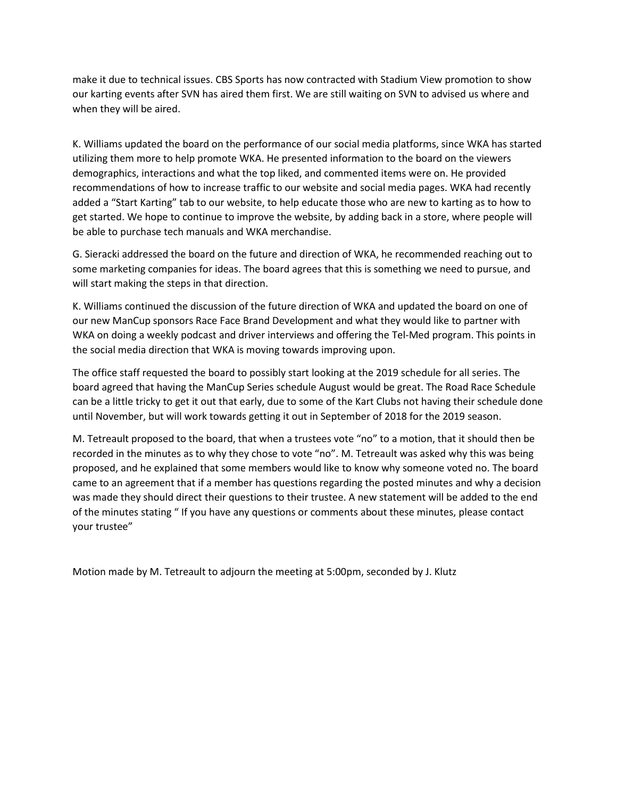make it due to technical issues. CBS Sports has now contracted with Stadium View promotion to show our karting events after SVN has aired them first. We are still waiting on SVN to advised us where and when they will be aired.

K. Williams updated the board on the performance of our social media platforms, since WKA has started utilizing them more to help promote WKA. He presented information to the board on the viewers demographics, interactions and what the top liked, and commented items were on. He provided recommendations of how to increase traffic to our website and social media pages. WKA had recently added a "Start Karting" tab to our website, to help educate those who are new to karting as to how to get started. We hope to continue to improve the website, by adding back in a store, where people will be able to purchase tech manuals and WKA merchandise.

G. Sieracki addressed the board on the future and direction of WKA, he recommended reaching out to some marketing companies for ideas. The board agrees that this is something we need to pursue, and will start making the steps in that direction.

K. Williams continued the discussion of the future direction of WKA and updated the board on one of our new ManCup sponsors Race Face Brand Development and what they would like to partner with WKA on doing a weekly podcast and driver interviews and offering the Tel-Med program. This points in the social media direction that WKA is moving towards improving upon.

The office staff requested the board to possibly start looking at the 2019 schedule for all series. The board agreed that having the ManCup Series schedule August would be great. The Road Race Schedule can be a little tricky to get it out that early, due to some of the Kart Clubs not having their schedule done until November, but will work towards getting it out in September of 2018 for the 2019 season.

M. Tetreault proposed to the board, that when a trustees vote "no" to a motion, that it should then be recorded in the minutes as to why they chose to vote "no". M. Tetreault was asked why this was being proposed, and he explained that some members would like to know why someone voted no. The board came to an agreement that if a member has questions regarding the posted minutes and why a decision was made they should direct their questions to their trustee. A new statement will be added to the end of the minutes stating " If you have any questions or comments about these minutes, please contact your trustee"

Motion made by M. Tetreault to adjourn the meeting at 5:00pm, seconded by J. Klutz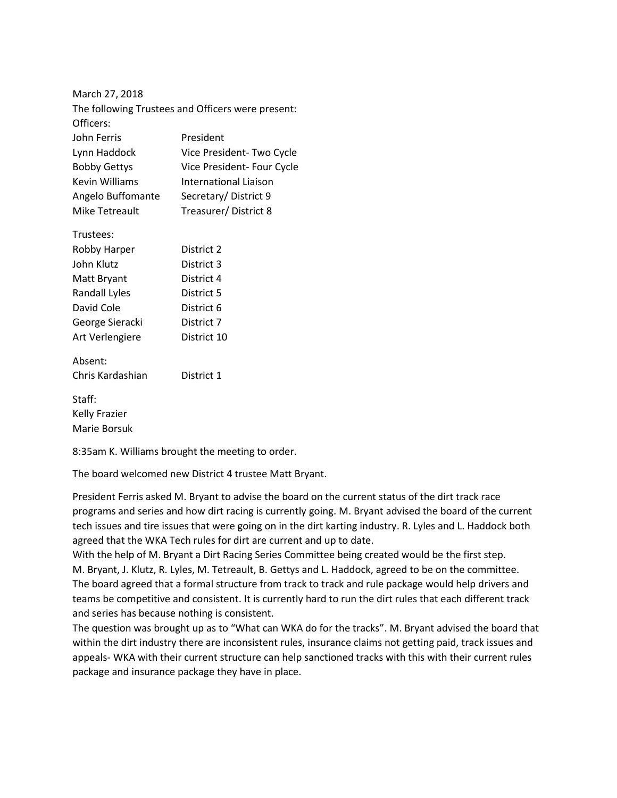| The following Trustees and Officers were present: |  |
|---------------------------------------------------|--|
|                                                   |  |
| President                                         |  |
| Vice President-Two Cycle                          |  |
| Vice President- Four Cycle                        |  |
| International Liaison                             |  |
| Secretary/District 9                              |  |
| Treasurer/District 8                              |  |
|                                                   |  |
| District 2                                        |  |
| District 3                                        |  |
| District 4                                        |  |
| District 5                                        |  |
| District 6                                        |  |
| District 7                                        |  |
| District 10                                       |  |
|                                                   |  |
| District 1                                        |  |
|                                                   |  |
|                                                   |  |

8:35am K. Williams brought the meeting to order.

The board welcomed new District 4 trustee Matt Bryant.

President Ferris asked M. Bryant to advise the board on the current status of the dirt track race programs and series and how dirt racing is currently going. M. Bryant advised the board of the current tech issues and tire issues that were going on in the dirt karting industry. R. Lyles and L. Haddock both agreed that the WKA Tech rules for dirt are current and up to date.

With the help of M. Bryant a Dirt Racing Series Committee being created would be the first step. M. Bryant, J. Klutz, R. Lyles, M. Tetreault, B. Gettys and L. Haddock, agreed to be on the committee. The board agreed that a formal structure from track to track and rule package would help drivers and teams be competitive and consistent. It is currently hard to run the dirt rules that each different track and series has because nothing is consistent.

The question was brought up as to "What can WKA do for the tracks". M. Bryant advised the board that within the dirt industry there are inconsistent rules, insurance claims not getting paid, track issues and appeals- WKA with their current structure can help sanctioned tracks with this with their current rules package and insurance package they have in place.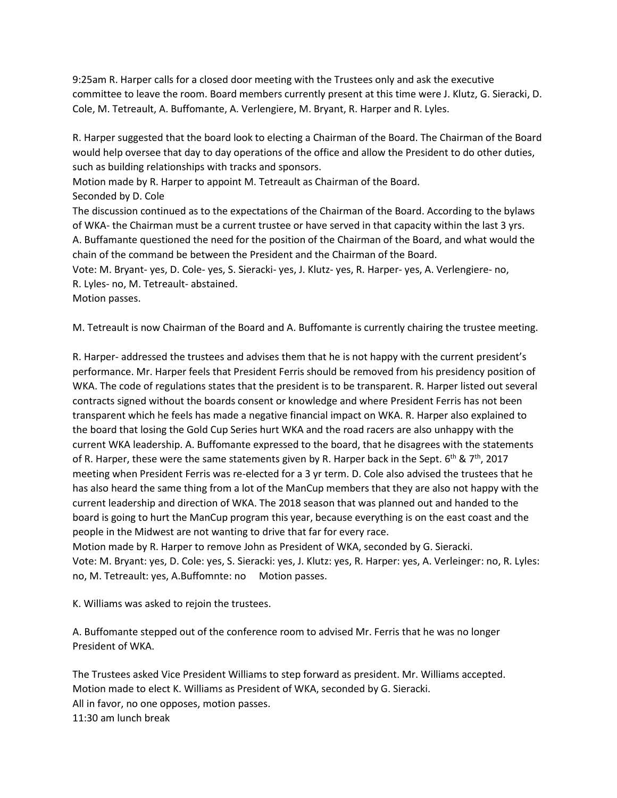9:25am R. Harper calls for a closed door meeting with the Trustees only and ask the executive committee to leave the room. Board members currently present at this time were J. Klutz, G. Sieracki, D. Cole, M. Tetreault, A. Buffomante, A. Verlengiere, M. Bryant, R. Harper and R. Lyles.

R. Harper suggested that the board look to electing a Chairman of the Board. The Chairman of the Board would help oversee that day to day operations of the office and allow the President to do other duties, such as building relationships with tracks and sponsors.

Motion made by R. Harper to appoint M. Tetreault as Chairman of the Board.

Seconded by D. Cole

The discussion continued as to the expectations of the Chairman of the Board. According to the bylaws of WKA- the Chairman must be a current trustee or have served in that capacity within the last 3 yrs. A. Buffamante questioned the need for the position of the Chairman of the Board, and what would the chain of the command be between the President and the Chairman of the Board.

Vote: M. Bryant- yes, D. Cole- yes, S. Sieracki- yes, J. Klutz- yes, R. Harper- yes, A. Verlengiere- no, R. Lyles- no, M. Tetreault- abstained.

Motion passes.

M. Tetreault is now Chairman of the Board and A. Buffomante is currently chairing the trustee meeting.

R. Harper- addressed the trustees and advises them that he is not happy with the current president's performance. Mr. Harper feels that President Ferris should be removed from his presidency position of WKA. The code of regulations states that the president is to be transparent. R. Harper listed out several contracts signed without the boards consent or knowledge and where President Ferris has not been transparent which he feels has made a negative financial impact on WKA. R. Harper also explained to the board that losing the Gold Cup Series hurt WKA and the road racers are also unhappy with the current WKA leadership. A. Buffomante expressed to the board, that he disagrees with the statements of R. Harper, these were the same statements given by R. Harper back in the Sept. 6<sup>th</sup> & 7<sup>th</sup>, 2017 meeting when President Ferris was re-elected for a 3 yr term. D. Cole also advised the trustees that he has also heard the same thing from a lot of the ManCup members that they are also not happy with the current leadership and direction of WKA. The 2018 season that was planned out and handed to the board is going to hurt the ManCup program this year, because everything is on the east coast and the people in the Midwest are not wanting to drive that far for every race.

Motion made by R. Harper to remove John as President of WKA, seconded by G. Sieracki. Vote: M. Bryant: yes, D. Cole: yes, S. Sieracki: yes, J. Klutz: yes, R. Harper: yes, A. Verleinger: no, R. Lyles: no, M. Tetreault: yes, A.Buffomnte: no Motion passes.

K. Williams was asked to rejoin the trustees.

A. Buffomante stepped out of the conference room to advised Mr. Ferris that he was no longer President of WKA.

The Trustees asked Vice President Williams to step forward as president. Mr. Williams accepted. Motion made to elect K. Williams as President of WKA, seconded by G. Sieracki. All in favor, no one opposes, motion passes. 11:30 am lunch break